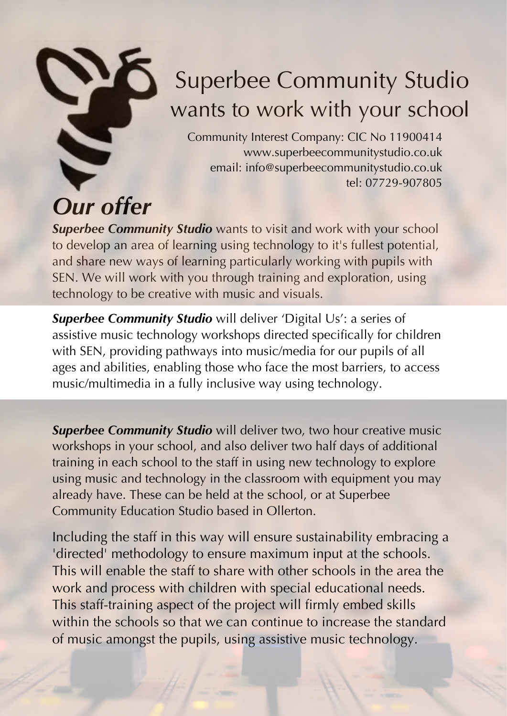

## Superbee Community Studio wants to work with your school

Community Interest Company: CIC No 11900414 www.superbeecommunitystudio.co.uk email: info@superbeecommunitystudio.co.uk tel: 07729-907805

**Superbee Community Studio** wants to visit and work with your school to develop an area of learning using technology to it's fullest potential, and share new ways of learning particularly working with pupils with SEN. We will work with you through training and exploration, using technology to be creative with music and visuals.

**Superbee Community Studio** will deliver 'Digital Us': a series of assistive music technology workshops directed specifically for children with SEN, providing pathways into music/media for our pupils of all ages and abilities, enabling those who face the most barriers, to access music/multimedia in a fully inclusive way using technology.

**Superbee Community Studio** will deliver two, two hour creative music workshops in your school, and also deliver two half days of additional training in each school to the staff in using new technology to explore using music and technology in the classroom with equipment you may already have. These can be held at the school, or at Superbee Community Education Studio based in Ollerton.

Including the staff in this way will ensure sustainability embracing a 'directed' methodology to ensure maximum input at the schools. This will enable the staff to share with other schools in the area the work and process with children with special educational needs. This staff-training aspect of the project will firmly embed skills within the schools so that we can continue to increase the standard of music amongst the pupils, using assistive music technology.